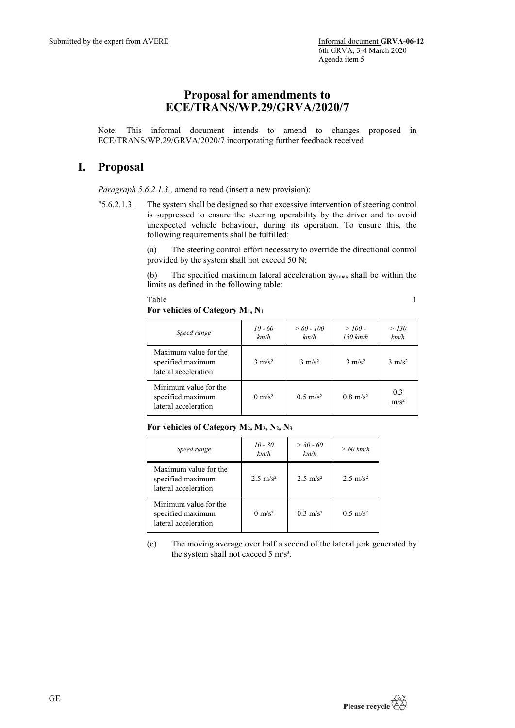## **Proposal for amendments to ECE/TRANS/WP.29/GRVA/2020/7**

Note: This informal document intends to amend to changes proposed in ECE/TRANS/WP.29/GRVA/2020/7 incorporating further feedback received

## **I. Proposal**

*Paragraph 5.6.2.1.3.,* amend to read (insert a new provision):

"5.6.2.1.3. The system shall be designed so that excessive intervention of steering control is suppressed to ensure the steering operability by the driver and to avoid unexpected vehicle behaviour, during its operation. To ensure this, the following requirements shall be fulfilled:

> (a) The steering control effort necessary to override the directional control provided by the system shall not exceed 50 N;

> (b) The specified maximum lateral acceleration aysmax shall be within the limits as defined in the following table:

> Table 1

**For vehicles of Category M1, N1**

| Speed range                                                        | $10 - 60$<br>km/h | $> 60 - 100$<br>km/h | $> 100 -$<br>$130 \ km/h$ | > 130<br>km/h           |
|--------------------------------------------------------------------|-------------------|----------------------|---------------------------|-------------------------|
| Maximum value for the<br>specified maximum<br>lateral acceleration | $3 \text{ m/s}^2$ | $3 \text{ m/s}^2$    | $3 \text{ m/s}^2$         | $3 \text{ m/s}^2$       |
| Minimum value for the<br>specified maximum<br>lateral acceleration | $0 \text{ m/s}^2$ | $0.5 \text{ m/s}^2$  | $0.8 \text{ m/s}^2$       | 0.3<br>m/s <sup>2</sup> |

**For vehicles of Category M2, M3, N2, N3**

| Speed range                                                        | $10 - 30$<br>km/h   | $> 30 - 60$<br>km/h  | $>60$ km/h          |
|--------------------------------------------------------------------|---------------------|----------------------|---------------------|
| Maximum value for the<br>specified maximum<br>lateral acceleration | $2.5 \text{ m/s}^2$ | 2.5 m/s <sup>2</sup> | $2.5 \text{ m/s}^2$ |
| Minimum value for the<br>specified maximum<br>lateral acceleration | $0 \text{ m/s}^2$   | $0.3 \text{ m/s}^2$  | $0.5 \text{ m/s}^2$ |

(c) The moving average over half a second of the lateral jerk generated by the system shall not exceed 5 m/s<sup>3</sup>.